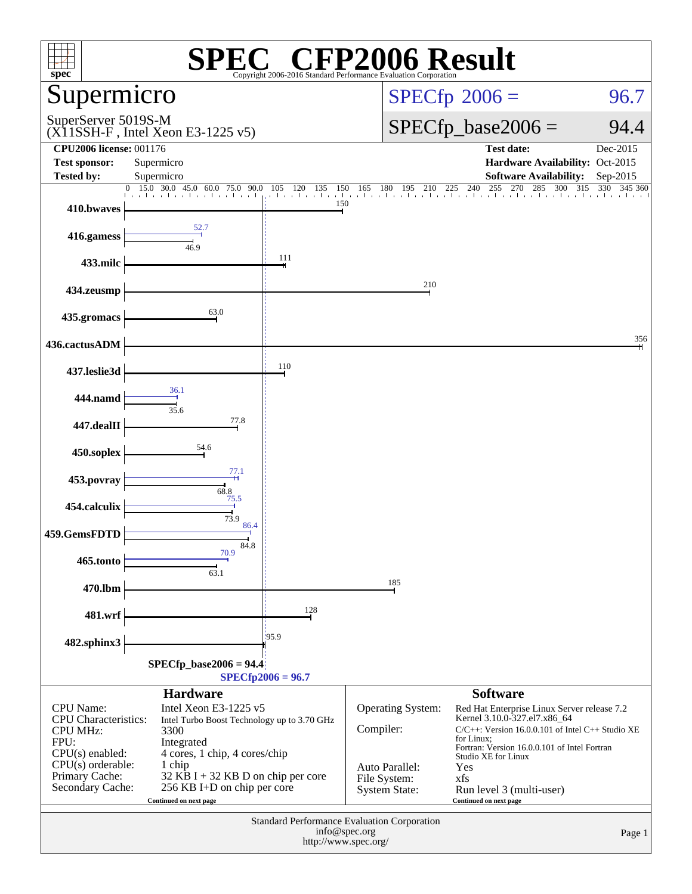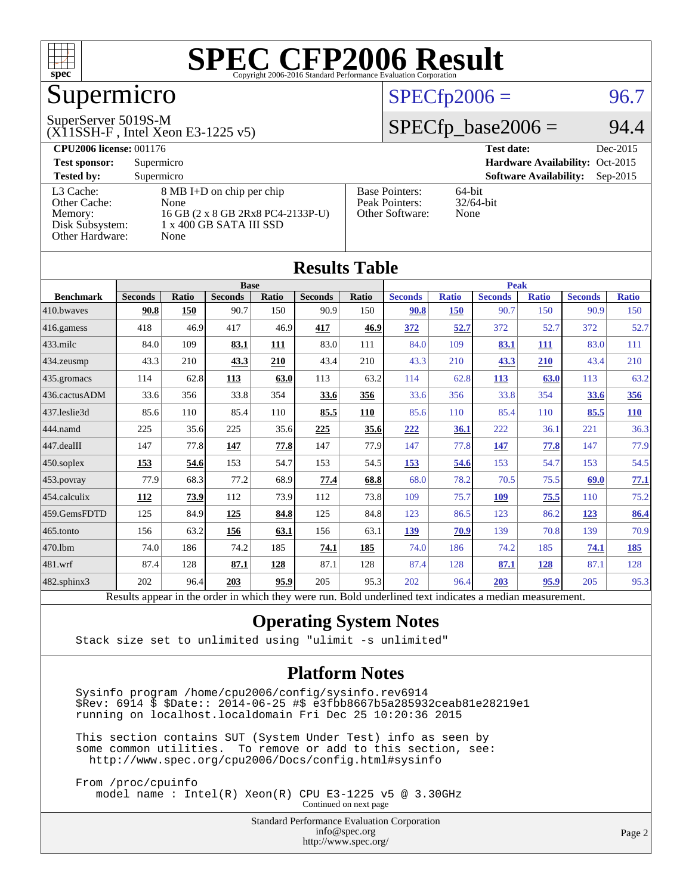

# Supermicro

#### SuperServer 5019S-M

(X11SSH-F , Intel Xeon E3-1225 v5)

### $SPECfp2006 = 96.7$  $SPECfp2006 = 96.7$

### $SPECfp\_base2006 = 94.4$

| <b>CPU2006 license: 001176</b>                                             |                                                                                                           |                                                            | <b>Test date:</b><br>Dec-2015               |
|----------------------------------------------------------------------------|-----------------------------------------------------------------------------------------------------------|------------------------------------------------------------|---------------------------------------------|
| <b>Test sponsor:</b>                                                       | Supermicro                                                                                                |                                                            | Hardware Availability: Oct-2015             |
| <b>Tested by:</b>                                                          | Supermicro                                                                                                |                                                            | <b>Software Availability:</b><br>$Sep-2015$ |
| L3 Cache:<br>Other Cache:<br>Memory:<br>Disk Subsystem:<br>Other Hardware: | 8 MB I+D on chip per chip<br>None<br>16 GB (2 x 8 GB 2Rx8 PC4-2133P-U)<br>1 x 400 GB SATA III SSD<br>None | <b>Base Pointers:</b><br>Peak Pointers:<br>Other Software: | $64$ -bit<br>$32/64$ -bit<br>None           |

| <b>Results Table</b>   |                                                                                                          |              |                |             |                |            |                |              |                |              |                |              |
|------------------------|----------------------------------------------------------------------------------------------------------|--------------|----------------|-------------|----------------|------------|----------------|--------------|----------------|--------------|----------------|--------------|
|                        | <b>Base</b>                                                                                              |              |                | <b>Peak</b> |                |            |                |              |                |              |                |              |
| <b>Benchmark</b>       | <b>Seconds</b>                                                                                           | <b>Ratio</b> | <b>Seconds</b> | Ratio       | <b>Seconds</b> | Ratio      | <b>Seconds</b> | <b>Ratio</b> | <b>Seconds</b> | <b>Ratio</b> | <b>Seconds</b> | <b>Ratio</b> |
| 410.bwayes             | 90.8                                                                                                     | 150          | 90.7           | 150         | 90.9           | 150        | 90.8           | <b>150</b>   | 90.7           | 150          | 90.9           | 150          |
| 416.gamess             | 418                                                                                                      | 46.9         | 417            | 46.9        | 417            | 46.9       | 372            | 52.7         | 372            | 52.7         | 372            | 52.7         |
| $433$ .milc            | 84.0                                                                                                     | 109          | 83.1           | 111         | 83.0           | 111        | 84.0           | 109          | 83.1           | 111          | 83.0           | 111          |
| $434$ . zeusmp         | 43.3                                                                                                     | 210          | 43.3           | 210         | 43.4           | 210        | 43.3           | 210          | 43.3           | 210          | 43.4           | 210          |
| $435.$ gromacs         | 114                                                                                                      | 62.8         | 113            | 63.0        | 113            | 63.2       | 114            | 62.8         | <b>113</b>     | 63.0         | 113            | 63.2         |
| 436.cactusADM          | 33.6                                                                                                     | 356          | 33.8           | 354         | 33.6           | 356        | 33.6           | 356          | 33.8           | 354          | 33.6           | <u>356</u>   |
| 437.leslie3d           | 85.6                                                                                                     | 110          | 85.4           | 110         | 85.5           | <b>110</b> | 85.6           | 110          | 85.4           | 110          | 85.5           | 110          |
| 444.namd               | 225                                                                                                      | 35.6         | 225            | 35.6        | 225            | 35.6       | 222            | 36.1         | 222            | 36.1         | 221            | 36.3         |
| $ 447 \text{.}$ dealII | 147                                                                                                      | 77.8         | 147            | 77.8        | 147            | 77.9       | 147            | 77.8         | 147            | 77.8         | 147            | 77.9         |
| $450$ .soplex          | 153                                                                                                      | 54.6         | 153            | 54.7        | 153            | 54.5       | 153            | 54.6         | 153            | 54.7         | 153            | 54.5         |
| $453$ .povray          | 77.9                                                                                                     | 68.3         | 77.2           | 68.9        | 77.4           | 68.8       | 68.0           | 78.2         | 70.5           | 75.5         | 69.0           | 77.1         |
| $ 454$ .calculix       | <b>112</b>                                                                                               | 73.9         | 112            | 73.9        | 112            | 73.8       | 109            | 75.7         | <b>109</b>     | 75.5         | 110            | 75.2         |
| 459.GemsFDTD           | 125                                                                                                      | 84.9         | 125            | 84.8        | 125            | 84.8       | 123            | 86.5         | 123            | 86.2         | 123            | 86.4         |
| 465.tonto              | 156                                                                                                      | 63.2         | 156            | 63.1        | 156            | 63.1       | 139            | 70.9         | 139            | 70.8         | 139            | 70.9         |
| 470.1bm                | 74.0                                                                                                     | 186          | 74.2           | 185         | 74.1           | 185        | 74.0           | 186          | 74.2           | 185          | 74.1           | <u>185</u>   |
| $ 481$ .wrf            | 87.4                                                                                                     | 128          | 87.1           | 128         | 87.1           | 128        | 87.4           | 128          | 87.1           | 128          | 87.1           | 128          |
| $482$ .sphinx $3$      | 202                                                                                                      | 96.4         | 203            | 95.9        | 205            | 95.3       | 202            | 96.4         | 203            | 95.9         | 205            | 95.3         |
|                        | Results appear in the order in which they were run. Bold underlined text indicates a median measurement. |              |                |             |                |            |                |              |                |              |                |              |

### **[Operating System Notes](http://www.spec.org/auto/cpu2006/Docs/result-fields.html#OperatingSystemNotes)**

Stack size set to unlimited using "ulimit -s unlimited"

#### **[Platform Notes](http://www.spec.org/auto/cpu2006/Docs/result-fields.html#PlatformNotes)**

 Sysinfo program /home/cpu2006/config/sysinfo.rev6914 \$Rev: 6914 \$ \$Date:: 2014-06-25 #\$ e3fbb8667b5a285932ceab81e28219e1 running on localhost.localdomain Fri Dec 25 10:20:36 2015

 This section contains SUT (System Under Test) info as seen by some common utilities. To remove or add to this section, see: <http://www.spec.org/cpu2006/Docs/config.html#sysinfo>

 From /proc/cpuinfo model name : Intel(R) Xeon(R) CPU E3-1225 v5 @ 3.30GHz Continued on next page

> Standard Performance Evaluation Corporation [info@spec.org](mailto:info@spec.org) <http://www.spec.org/>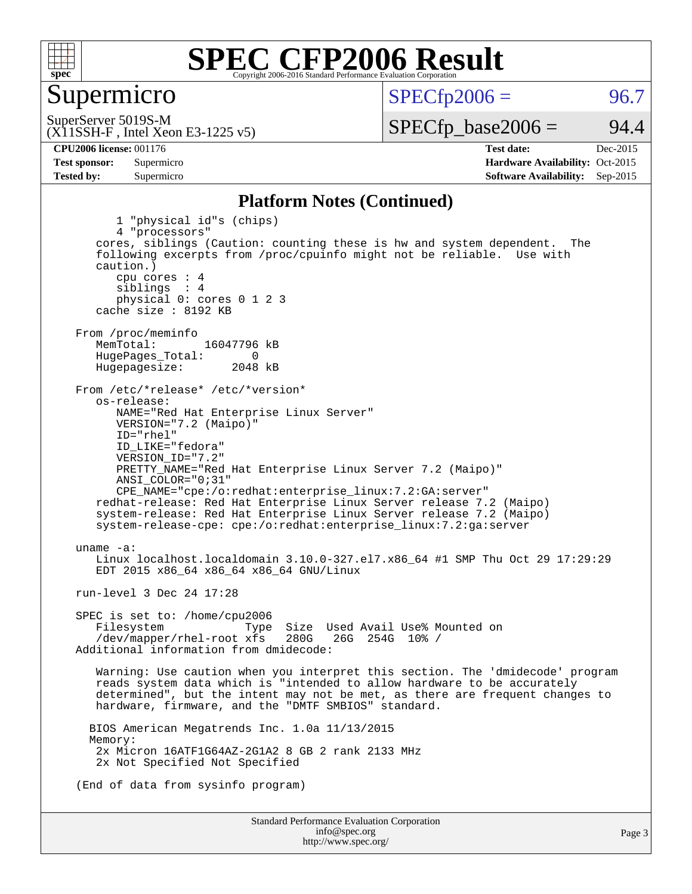

### Supermicro

 $SPECTp2006 = 96.7$ 

(X11SSH-F , Intel Xeon E3-1225 v5) SuperServer 5019S-M

 $SPECTp\_base2006 = 94.4$ 

**[CPU2006 license:](http://www.spec.org/auto/cpu2006/Docs/result-fields.html#CPU2006license)** 001176 **[Test date:](http://www.spec.org/auto/cpu2006/Docs/result-fields.html#Testdate)** Dec-2015 **[Test sponsor:](http://www.spec.org/auto/cpu2006/Docs/result-fields.html#Testsponsor)** Supermicro Supermicro **[Hardware Availability:](http://www.spec.org/auto/cpu2006/Docs/result-fields.html#HardwareAvailability)** Oct-2015 **[Tested by:](http://www.spec.org/auto/cpu2006/Docs/result-fields.html#Testedby)** Supermicro **Supermicro [Software Availability:](http://www.spec.org/auto/cpu2006/Docs/result-fields.html#SoftwareAvailability)** Sep-2015

#### **[Platform Notes \(Continued\)](http://www.spec.org/auto/cpu2006/Docs/result-fields.html#PlatformNotes)**

Standard Performance Evaluation Corporation 1 "physical id"s (chips) 4 "processors" cores, siblings (Caution: counting these is hw and system dependent. The following excerpts from /proc/cpuinfo might not be reliable. Use with caution.) cpu cores : 4 siblings : 4 physical 0: cores 0 1 2 3 cache size : 8192 KB From /proc/meminfo<br>MemTotal: 16047796 kB HugePages\_Total: 0<br>Hugepagesize: 2048 kB Hugepagesize: From /etc/\*release\* /etc/\*version\* os-release: NAME="Red Hat Enterprise Linux Server" VERSION="7.2 (Maipo)" ID="rhel" ID\_LIKE="fedora" VERSION\_ID="7.2" PRETTY\_NAME="Red Hat Enterprise Linux Server 7.2 (Maipo)" ANSI\_COLOR="0;31" CPE\_NAME="cpe:/o:redhat:enterprise\_linux:7.2:GA:server" redhat-release: Red Hat Enterprise Linux Server release 7.2 (Maipo) system-release: Red Hat Enterprise Linux Server release 7.2 (Maipo) system-release-cpe: cpe:/o:redhat:enterprise\_linux:7.2:ga:server uname -a: Linux localhost.localdomain 3.10.0-327.el7.x86\_64 #1 SMP Thu Oct 29 17:29:29 EDT 2015 x86\_64 x86\_64 x86\_64 GNU/Linux run-level 3 Dec 24 17:28 SPEC is set to: /home/cpu2006 Filesystem Type Size Used Avail Use% Mounted on<br>
/dev/mapper/rhel-root xfs 280G 26G 254G 10% /  $/$ dev/mapper/rhel-root xfs Additional information from dmidecode: Warning: Use caution when you interpret this section. The 'dmidecode' program reads system data which is "intended to allow hardware to be accurately determined", but the intent may not be met, as there are frequent changes to hardware, firmware, and the "DMTF SMBIOS" standard. BIOS American Megatrends Inc. 1.0a 11/13/2015 Memory: 2x Micron 16ATF1G64AZ-2G1A2 8 GB 2 rank 2133 MHz 2x Not Specified Not Specified (End of data from sysinfo program)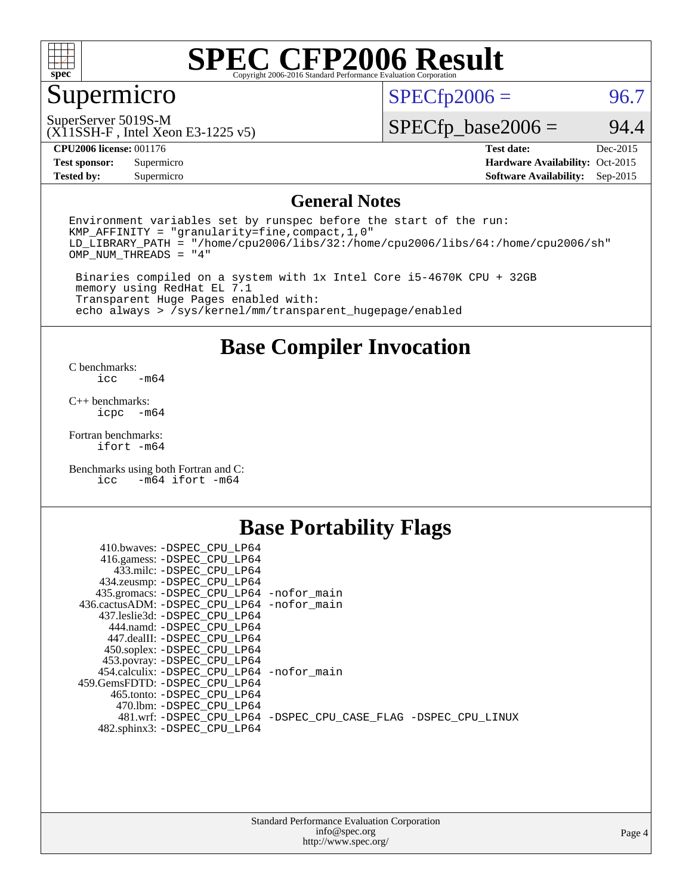

## Supermicro

 $SPECfp2006 = 96.7$  $SPECfp2006 = 96.7$ 

SuperServer 5019S-M

(X11SSH-F , Intel Xeon E3-1225 v5)

 $SPECfp\_base2006 = 94.4$ 

**[CPU2006 license:](http://www.spec.org/auto/cpu2006/Docs/result-fields.html#CPU2006license)** 001176 **[Test date:](http://www.spec.org/auto/cpu2006/Docs/result-fields.html#Testdate)** Dec-2015

**[Test sponsor:](http://www.spec.org/auto/cpu2006/Docs/result-fields.html#Testsponsor)** Supermicro Supermicro **[Hardware Availability:](http://www.spec.org/auto/cpu2006/Docs/result-fields.html#HardwareAvailability)** Oct-2015 **[Tested by:](http://www.spec.org/auto/cpu2006/Docs/result-fields.html#Testedby)** Supermicro **[Software Availability:](http://www.spec.org/auto/cpu2006/Docs/result-fields.html#SoftwareAvailability)** Sep-2015

### **[General Notes](http://www.spec.org/auto/cpu2006/Docs/result-fields.html#GeneralNotes)**

Environment variables set by runspec before the start of the run: KMP\_AFFINITY = "granularity=fine,compact,1,0" LD\_LIBRARY\_PATH = "/home/cpu2006/libs/32:/home/cpu2006/libs/64:/home/cpu2006/sh" OMP\_NUM\_THREADS = "4"

 Binaries compiled on a system with 1x Intel Core i5-4670K CPU + 32GB memory using RedHat EL 7.1 Transparent Huge Pages enabled with: echo always > /sys/kernel/mm/transparent\_hugepage/enabled

### **[Base Compiler Invocation](http://www.spec.org/auto/cpu2006/Docs/result-fields.html#BaseCompilerInvocation)**

[C benchmarks](http://www.spec.org/auto/cpu2006/Docs/result-fields.html#Cbenchmarks):  $-m64$ 

[C++ benchmarks:](http://www.spec.org/auto/cpu2006/Docs/result-fields.html#CXXbenchmarks) [icpc -m64](http://www.spec.org/cpu2006/results/res2016q1/cpu2006-20151225-38527.flags.html#user_CXXbase_intel_icpc_64bit_bedb90c1146cab66620883ef4f41a67e)

[Fortran benchmarks](http://www.spec.org/auto/cpu2006/Docs/result-fields.html#Fortranbenchmarks): [ifort -m64](http://www.spec.org/cpu2006/results/res2016q1/cpu2006-20151225-38527.flags.html#user_FCbase_intel_ifort_64bit_ee9d0fb25645d0210d97eb0527dcc06e)

[Benchmarks using both Fortran and C](http://www.spec.org/auto/cpu2006/Docs/result-fields.html#BenchmarksusingbothFortranandC): [icc -m64](http://www.spec.org/cpu2006/results/res2016q1/cpu2006-20151225-38527.flags.html#user_CC_FCbase_intel_icc_64bit_0b7121f5ab7cfabee23d88897260401c) [ifort -m64](http://www.spec.org/cpu2006/results/res2016q1/cpu2006-20151225-38527.flags.html#user_CC_FCbase_intel_ifort_64bit_ee9d0fb25645d0210d97eb0527dcc06e)

### **[Base Portability Flags](http://www.spec.org/auto/cpu2006/Docs/result-fields.html#BasePortabilityFlags)**

| 410.bwaves: -DSPEC CPU LP64                 |                                                                |
|---------------------------------------------|----------------------------------------------------------------|
| 416.gamess: -DSPEC_CPU_LP64                 |                                                                |
| 433.milc: -DSPEC CPU LP64                   |                                                                |
| 434.zeusmp: -DSPEC_CPU_LP64                 |                                                                |
| 435.gromacs: -DSPEC_CPU_LP64 -nofor_main    |                                                                |
| 436.cactusADM: -DSPEC CPU LP64 -nofor main  |                                                                |
| 437.leslie3d: -DSPEC CPU LP64               |                                                                |
| 444.namd: -DSPEC CPU LP64                   |                                                                |
| 447.dealII: -DSPEC CPU LP64                 |                                                                |
| 450.soplex: -DSPEC_CPU_LP64                 |                                                                |
| 453.povray: -DSPEC_CPU_LP64                 |                                                                |
| 454.calculix: - DSPEC CPU LP64 - nofor main |                                                                |
| 459. GemsFDTD: - DSPEC CPU LP64             |                                                                |
| 465.tonto: - DSPEC CPU LP64                 |                                                                |
| 470.1bm: - DSPEC CPU LP64                   |                                                                |
|                                             | 481.wrf: -DSPEC_CPU_LP64 -DSPEC_CPU_CASE_FLAG -DSPEC_CPU_LINUX |
| 482.sphinx3: -DSPEC_CPU_LP64                |                                                                |
|                                             |                                                                |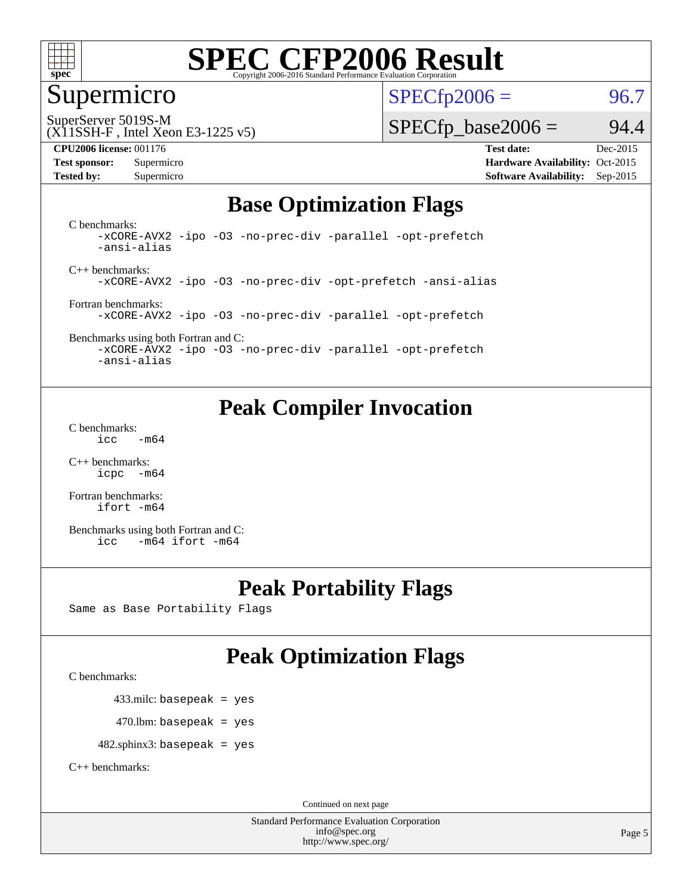

### Supermicro

 $SPECTp2006 = 96.7$ 

SuperServer 5019S-M

#### (X11SSH-F , Intel Xeon E3-1225 v5)

#### **[CPU2006 license:](http://www.spec.org/auto/cpu2006/Docs/result-fields.html#CPU2006license)** 001176 **[Test date:](http://www.spec.org/auto/cpu2006/Docs/result-fields.html#Testdate)** Dec-2015

 $SPECTp\_base2006 = 94.4$ 

**[Test sponsor:](http://www.spec.org/auto/cpu2006/Docs/result-fields.html#Testsponsor)** Supermicro Supermicro **[Hardware Availability:](http://www.spec.org/auto/cpu2006/Docs/result-fields.html#HardwareAvailability)** Oct-2015 **[Tested by:](http://www.spec.org/auto/cpu2006/Docs/result-fields.html#Testedby)** Supermicro **Supermicro [Software Availability:](http://www.spec.org/auto/cpu2006/Docs/result-fields.html#SoftwareAvailability)** Sep-2015

### **[Base Optimization Flags](http://www.spec.org/auto/cpu2006/Docs/result-fields.html#BaseOptimizationFlags)**

[C benchmarks](http://www.spec.org/auto/cpu2006/Docs/result-fields.html#Cbenchmarks): [-xCORE-AVX2](http://www.spec.org/cpu2006/results/res2016q1/cpu2006-20151225-38527.flags.html#user_CCbase_f-xAVX2_5f5fc0cbe2c9f62c816d3e45806c70d7) [-ipo](http://www.spec.org/cpu2006/results/res2016q1/cpu2006-20151225-38527.flags.html#user_CCbase_f-ipo) [-O3](http://www.spec.org/cpu2006/results/res2016q1/cpu2006-20151225-38527.flags.html#user_CCbase_f-O3) [-no-prec-div](http://www.spec.org/cpu2006/results/res2016q1/cpu2006-20151225-38527.flags.html#user_CCbase_f-no-prec-div) [-parallel](http://www.spec.org/cpu2006/results/res2016q1/cpu2006-20151225-38527.flags.html#user_CCbase_f-parallel) [-opt-prefetch](http://www.spec.org/cpu2006/results/res2016q1/cpu2006-20151225-38527.flags.html#user_CCbase_f-opt-prefetch) [-ansi-alias](http://www.spec.org/cpu2006/results/res2016q1/cpu2006-20151225-38527.flags.html#user_CCbase_f-ansi-alias)

[C++ benchmarks:](http://www.spec.org/auto/cpu2006/Docs/result-fields.html#CXXbenchmarks) [-xCORE-AVX2](http://www.spec.org/cpu2006/results/res2016q1/cpu2006-20151225-38527.flags.html#user_CXXbase_f-xAVX2_5f5fc0cbe2c9f62c816d3e45806c70d7) [-ipo](http://www.spec.org/cpu2006/results/res2016q1/cpu2006-20151225-38527.flags.html#user_CXXbase_f-ipo) [-O3](http://www.spec.org/cpu2006/results/res2016q1/cpu2006-20151225-38527.flags.html#user_CXXbase_f-O3) [-no-prec-div](http://www.spec.org/cpu2006/results/res2016q1/cpu2006-20151225-38527.flags.html#user_CXXbase_f-no-prec-div) [-opt-prefetch](http://www.spec.org/cpu2006/results/res2016q1/cpu2006-20151225-38527.flags.html#user_CXXbase_f-opt-prefetch) [-ansi-alias](http://www.spec.org/cpu2006/results/res2016q1/cpu2006-20151225-38527.flags.html#user_CXXbase_f-ansi-alias)

[Fortran benchmarks](http://www.spec.org/auto/cpu2006/Docs/result-fields.html#Fortranbenchmarks): [-xCORE-AVX2](http://www.spec.org/cpu2006/results/res2016q1/cpu2006-20151225-38527.flags.html#user_FCbase_f-xAVX2_5f5fc0cbe2c9f62c816d3e45806c70d7) [-ipo](http://www.spec.org/cpu2006/results/res2016q1/cpu2006-20151225-38527.flags.html#user_FCbase_f-ipo) [-O3](http://www.spec.org/cpu2006/results/res2016q1/cpu2006-20151225-38527.flags.html#user_FCbase_f-O3) [-no-prec-div](http://www.spec.org/cpu2006/results/res2016q1/cpu2006-20151225-38527.flags.html#user_FCbase_f-no-prec-div) [-parallel](http://www.spec.org/cpu2006/results/res2016q1/cpu2006-20151225-38527.flags.html#user_FCbase_f-parallel) [-opt-prefetch](http://www.spec.org/cpu2006/results/res2016q1/cpu2006-20151225-38527.flags.html#user_FCbase_f-opt-prefetch)

[Benchmarks using both Fortran and C](http://www.spec.org/auto/cpu2006/Docs/result-fields.html#BenchmarksusingbothFortranandC): [-xCORE-AVX2](http://www.spec.org/cpu2006/results/res2016q1/cpu2006-20151225-38527.flags.html#user_CC_FCbase_f-xAVX2_5f5fc0cbe2c9f62c816d3e45806c70d7) [-ipo](http://www.spec.org/cpu2006/results/res2016q1/cpu2006-20151225-38527.flags.html#user_CC_FCbase_f-ipo) [-O3](http://www.spec.org/cpu2006/results/res2016q1/cpu2006-20151225-38527.flags.html#user_CC_FCbase_f-O3) [-no-prec-div](http://www.spec.org/cpu2006/results/res2016q1/cpu2006-20151225-38527.flags.html#user_CC_FCbase_f-no-prec-div) [-parallel](http://www.spec.org/cpu2006/results/res2016q1/cpu2006-20151225-38527.flags.html#user_CC_FCbase_f-parallel) [-opt-prefetch](http://www.spec.org/cpu2006/results/res2016q1/cpu2006-20151225-38527.flags.html#user_CC_FCbase_f-opt-prefetch)

[-ansi-alias](http://www.spec.org/cpu2006/results/res2016q1/cpu2006-20151225-38527.flags.html#user_CC_FCbase_f-ansi-alias)

### **[Peak Compiler Invocation](http://www.spec.org/auto/cpu2006/Docs/result-fields.html#PeakCompilerInvocation)**

[C benchmarks](http://www.spec.org/auto/cpu2006/Docs/result-fields.html#Cbenchmarks):  $\text{icc}$   $-\text{m64}$ 

[C++ benchmarks:](http://www.spec.org/auto/cpu2006/Docs/result-fields.html#CXXbenchmarks) [icpc -m64](http://www.spec.org/cpu2006/results/res2016q1/cpu2006-20151225-38527.flags.html#user_CXXpeak_intel_icpc_64bit_bedb90c1146cab66620883ef4f41a67e)

[Fortran benchmarks](http://www.spec.org/auto/cpu2006/Docs/result-fields.html#Fortranbenchmarks): [ifort -m64](http://www.spec.org/cpu2006/results/res2016q1/cpu2006-20151225-38527.flags.html#user_FCpeak_intel_ifort_64bit_ee9d0fb25645d0210d97eb0527dcc06e)

[Benchmarks using both Fortran and C](http://www.spec.org/auto/cpu2006/Docs/result-fields.html#BenchmarksusingbothFortranandC): [icc -m64](http://www.spec.org/cpu2006/results/res2016q1/cpu2006-20151225-38527.flags.html#user_CC_FCpeak_intel_icc_64bit_0b7121f5ab7cfabee23d88897260401c) [ifort -m64](http://www.spec.org/cpu2006/results/res2016q1/cpu2006-20151225-38527.flags.html#user_CC_FCpeak_intel_ifort_64bit_ee9d0fb25645d0210d97eb0527dcc06e)

### **[Peak Portability Flags](http://www.spec.org/auto/cpu2006/Docs/result-fields.html#PeakPortabilityFlags)**

Same as Base Portability Flags

### **[Peak Optimization Flags](http://www.spec.org/auto/cpu2006/Docs/result-fields.html#PeakOptimizationFlags)**

[C benchmarks](http://www.spec.org/auto/cpu2006/Docs/result-fields.html#Cbenchmarks):

433.milc: basepeak = yes

 $470.$ lbm: basepeak = yes

482.sphinx3: basepeak = yes

[C++ benchmarks:](http://www.spec.org/auto/cpu2006/Docs/result-fields.html#CXXbenchmarks)

Continued on next page

Standard Performance Evaluation Corporation [info@spec.org](mailto:info@spec.org) <http://www.spec.org/>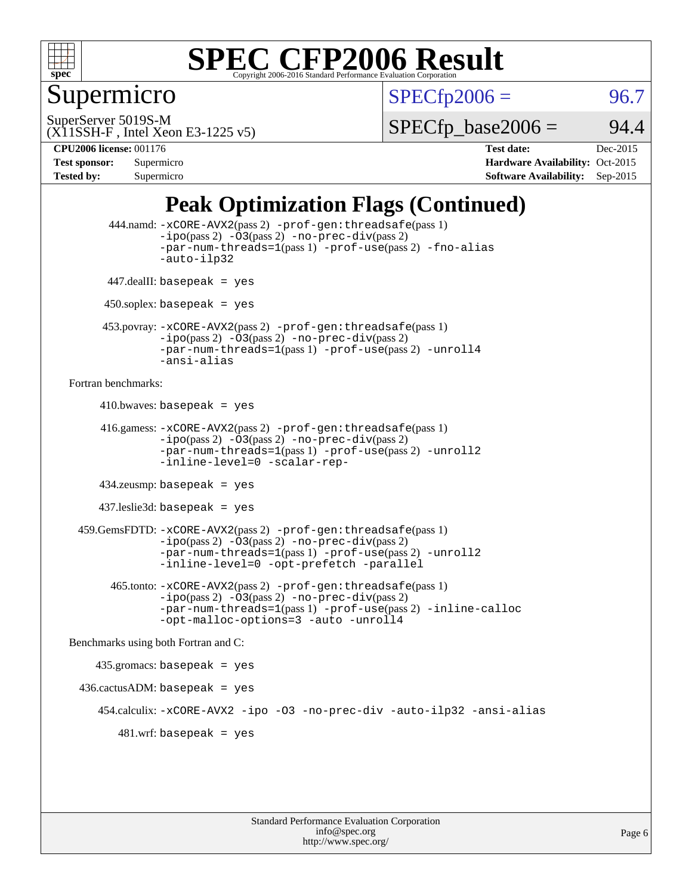

### Supermicro

 $SPECTp2006 = 96.7$ 

SuperServer 5019S-M

 $SPECTp\_base2006 = 94.4$ 

(X11SSH-F , Intel Xeon E3-1225 v5)

**[Tested by:](http://www.spec.org/auto/cpu2006/Docs/result-fields.html#Testedby)** Supermicro **Supermicro [Software Availability:](http://www.spec.org/auto/cpu2006/Docs/result-fields.html#SoftwareAvailability)** Sep-2015

**[CPU2006 license:](http://www.spec.org/auto/cpu2006/Docs/result-fields.html#CPU2006license)** 001176 **[Test date:](http://www.spec.org/auto/cpu2006/Docs/result-fields.html#Testdate)** Dec-2015 **[Test sponsor:](http://www.spec.org/auto/cpu2006/Docs/result-fields.html#Testsponsor)** Supermicro **[Hardware Availability:](http://www.spec.org/auto/cpu2006/Docs/result-fields.html#HardwareAvailability)** Oct-2015

### **[Peak Optimization Flags \(Continued\)](http://www.spec.org/auto/cpu2006/Docs/result-fields.html#PeakOptimizationFlags)**

```
 444.namd: -xCORE-AVX2(pass 2) -prof-gen:threadsafe(pass 1)
               -ipo(pass 2) -03(pass 2) -no-prec-div(pass 2)
               -par-num-threads=1(pass 1) -prof-use(pass 2) -fno-alias
               -auto-ilp32
      447.dealII: basepeak = yes
      450.soplex: basepeak = yes
      453.povray: -xCORE-AVX2(pass 2) -prof-gen:threadsafe(pass 1)
               -no-prec-div(pass 2)-par-num-threads=1(pass 1) -prof-use(pass 2) -unroll4
               -ansi-alias
Fortran benchmarks: 
     410.bwaves: basepeak = yes 416.gamess: -xCORE-AVX2(pass 2) -prof-gen:threadsafe(pass 1)
               -ipo(pass 2) -03(pass 2) -no-prec-div(pass 2)-par-num-threads=1(pass 1) -prof-use(pass 2) -unroll2
               -inline-level=0 -scalar-rep-
      434.zeusmp: basepeak = yes
     437.leslie3d: basepeak = yes
  459.GemsFDTD: -xCORE-AVX2(pass 2) -prof-gen:threadsafe(pass 1)
               -i\text{po}(pass 2) -\tilde{O}3(pass 2)-no-prec-div(pass 2)
               -par-num-threads=1(pass 1) -prof-use(pass 2) -unroll2
               -inline-level=0 -opt-prefetch -parallel
        465.tonto: -xCORE-AVX2(pass 2) -prof-gen:threadsafe(pass 1)
               -no-prec-div(pass 2)-par-num-threads=1(pass 1) -prof-use(pass 2) -inline-calloc
               -opt-malloc-options=3 -auto -unroll4
Benchmarks using both Fortran and C: 
     435.gromacs: basepeak = yes
 436.cactusADM:basepeak = yes 454.calculix: -xCORE-AVX2 -ipo -O3 -no-prec-div -auto-ilp32 -ansi-alias
        481.wrf: basepeak = yes
```